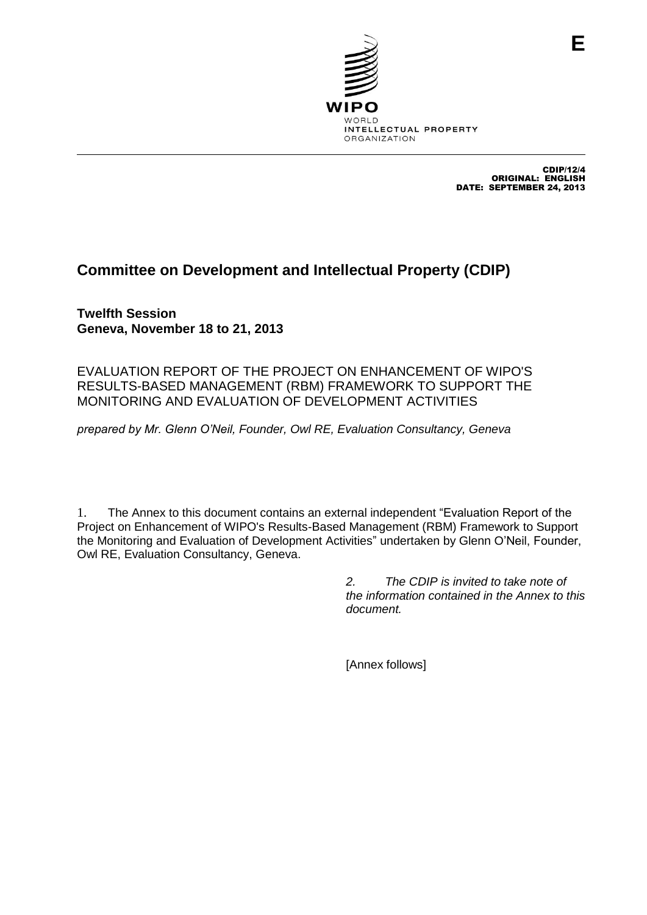

CDIP/12/4 ORIGINAL: ENGLISH DATE: SEPTEMBER 24, 2013

**E**

# **Committee on Development and Intellectual Property (CDIP)**

**Twelfth Session Geneva, November 18 to 21, 2013**

EVALUATION REPORT OF THE PROJECT ON ENHANCEMENT OF WIPO'S RESULTS-BASED MANAGEMENT (RBM) FRAMEWORK TO SUPPORT THE MONITORING AND EVALUATION OF DEVELOPMENT ACTIVITIES

*prepared by Mr. Glenn O'Neil, Founder, Owl RE, Evaluation Consultancy, Geneva*

1. The Annex to this document contains an external independent "Evaluation Report of the Project on Enhancement of WIPO's Results-Based Management (RBM) Framework to Support the Monitoring and Evaluation of Development Activities" undertaken by Glenn O'Neil, Founder, Owl RE, Evaluation Consultancy, Geneva.

> *2. The CDIP is invited to take note of the information contained in the Annex to this document.*

[Annex follows]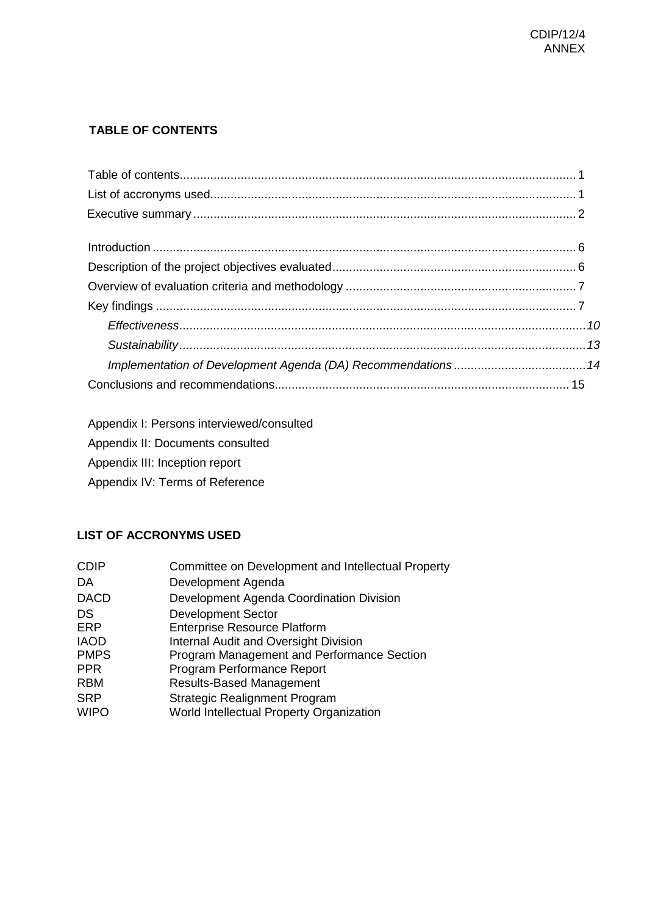# <span id="page-1-0"></span>**TABLE OF CONTENTS**

<span id="page-1-1"></span>Appendix I: Persons interviewed/consulted

Appendix II: Documents consulted

Appendix III: Inception report

Appendix IV: Terms of Reference

# **LIST OF ACCRONYMS USED**

| <b>CDIP</b>               | Committee on Development and Intellectual Property                               |
|---------------------------|----------------------------------------------------------------------------------|
| DA                        | Development Agenda                                                               |
| <b>DACD</b>               | Development Agenda Coordination Division                                         |
| DS                        | <b>Development Sector</b>                                                        |
| <b>ERP</b>                | <b>Enterprise Resource Platform</b>                                              |
| <b>IAOD</b>               | <b>Internal Audit and Oversight Division</b>                                     |
| <b>PMPS</b>               | Program Management and Performance Section                                       |
| <b>PPR</b>                | Program Performance Report                                                       |
| <b>RBM</b>                | <b>Results-Based Management</b>                                                  |
| <b>SRP</b><br><b>WIPO</b> | <b>Strategic Realignment Program</b><br>World Intellectual Property Organization |
|                           |                                                                                  |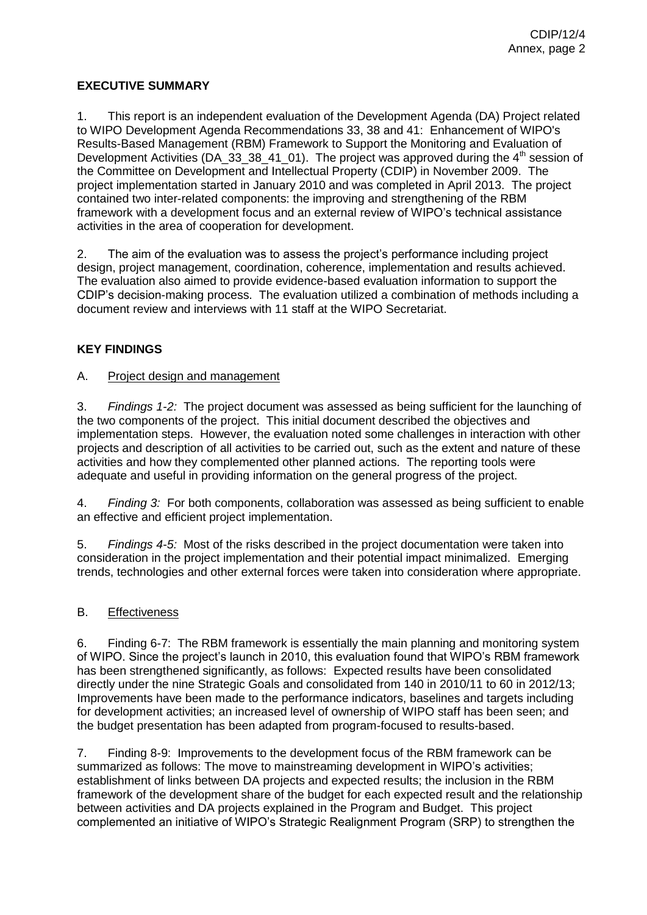# <span id="page-2-0"></span>**EXECUTIVE SUMMARY**

1. This report is an independent evaluation of the Development Agenda (DA) Project related to WIPO Development Agenda Recommendations 33, 38 and 41: Enhancement of WIPO's Results-Based Management (RBM) Framework to Support the Monitoring and Evaluation of Development Activities (DA\_33\_38\_41\_01). The project was approved during the  $4<sup>th</sup>$  session of the Committee on Development and Intellectual Property (CDIP) in November 2009. The project implementation started in January 2010 and was completed in April 2013. The project contained two inter-related components: the improving and strengthening of the RBM framework with a development focus and an external review of WIPO's technical assistance activities in the area of cooperation for development.

2. The aim of the evaluation was to assess the project's performance including project design, project management, coordination, coherence, implementation and results achieved. The evaluation also aimed to provide evidence-based evaluation information to support the CDIP's decision-making process. The evaluation utilized a combination of methods including a document review and interviews with 11 staff at the WIPO Secretariat.

# **KEY FINDINGS**

#### A. Project design and management

3. *Findings 1-2:* The project document was assessed as being sufficient for the launching of the two components of the project. This initial document described the objectives and implementation steps. However, the evaluation noted some challenges in interaction with other projects and description of all activities to be carried out, such as the extent and nature of these activities and how they complemented other planned actions. The reporting tools were adequate and useful in providing information on the general progress of the project.

4. *Finding 3:* For both components, collaboration was assessed as being sufficient to enable an effective and efficient project implementation.

5. *Findings 4-5:* Most of the risks described in the project documentation were taken into consideration in the project implementation and their potential impact minimalized. Emerging trends, technologies and other external forces were taken into consideration where appropriate.

#### B. Effectiveness

6. Finding 6-7: The RBM framework is essentially the main planning and monitoring system of WIPO. Since the project's launch in 2010, this evaluation found that WIPO's RBM framework has been strengthened significantly, as follows: Expected results have been consolidated directly under the nine Strategic Goals and consolidated from 140 in 2010/11 to 60 in 2012/13; Improvements have been made to the performance indicators, baselines and targets including for development activities; an increased level of ownership of WIPO staff has been seen; and the budget presentation has been adapted from program-focused to results-based.

7. Finding 8-9: Improvements to the development focus of the RBM framework can be summarized as follows: The move to mainstreaming development in WIPO's activities; establishment of links between DA projects and expected results; the inclusion in the RBM framework of the development share of the budget for each expected result and the relationship between activities and DA projects explained in the Program and Budget. This project complemented an initiative of WIPO's Strategic Realignment Program (SRP) to strengthen the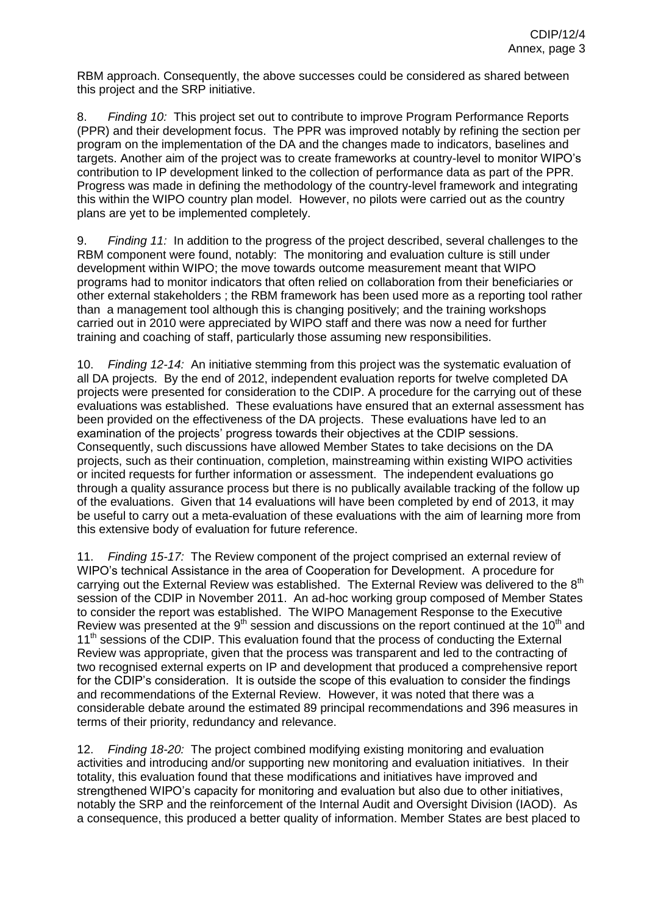RBM approach. Consequently, the above successes could be considered as shared between this project and the SRP initiative.

8. *Finding 10:* This project set out to contribute to improve Program Performance Reports (PPR) and their development focus. The PPR was improved notably by refining the section per program on the implementation of the DA and the changes made to indicators, baselines and targets. Another aim of the project was to create frameworks at country-level to monitor WIPO's contribution to IP development linked to the collection of performance data as part of the PPR. Progress was made in defining the methodology of the country-level framework and integrating this within the WIPO country plan model. However, no pilots were carried out as the country plans are yet to be implemented completely.

9. *Finding 11:* In addition to the progress of the project described, several challenges to the RBM component were found, notably: The monitoring and evaluation culture is still under development within WIPO; the move towards outcome measurement meant that WIPO programs had to monitor indicators that often relied on collaboration from their beneficiaries or other external stakeholders ; the RBM framework has been used more as a reporting tool rather than a management tool although this is changing positively; and the training workshops carried out in 2010 were appreciated by WIPO staff and there was now a need for further training and coaching of staff, particularly those assuming new responsibilities.

10. *Finding 12-14:* An initiative stemming from this project was the systematic evaluation of all DA projects. By the end of 2012, independent evaluation reports for twelve completed DA projects were presented for consideration to the CDIP. A procedure for the carrying out of these evaluations was established. These evaluations have ensured that an external assessment has been provided on the effectiveness of the DA projects. These evaluations have led to an examination of the projects' progress towards their objectives at the CDIP sessions. Consequently, such discussions have allowed Member States to take decisions on the DA projects, such as their continuation, completion, mainstreaming within existing WIPO activities or incited requests for further information or assessment. The independent evaluations go through a quality assurance process but there is no publically available tracking of the follow up of the evaluations. Given that 14 evaluations will have been completed by end of 2013, it may be useful to carry out a meta-evaluation of these evaluations with the aim of learning more from this extensive body of evaluation for future reference.

11. *Finding 15-17:* The Review component of the project comprised an external review of WIPO's technical Assistance in the area of Cooperation for Development. A procedure for carrying out the External Review was established. The External Review was delivered to the 8<sup>th</sup> session of the CDIP in November 2011. An ad-hoc working group composed of Member States to consider the report was established. The WIPO Management Response to the Executive Review was presented at the  $9<sup>th</sup>$  session and discussions on the report continued at the 10<sup>th</sup> and 11<sup>th</sup> sessions of the CDIP. This evaluation found that the process of conducting the External Review was appropriate, given that the process was transparent and led to the contracting of two recognised external experts on IP and development that produced a comprehensive report for the CDIP's consideration. It is outside the scope of this evaluation to consider the findings and recommendations of the External Review. However, it was noted that there was a considerable debate around the estimated 89 principal recommendations and 396 measures in terms of their priority, redundancy and relevance.

12. *Finding 18-20:* The project combined modifying existing monitoring and evaluation activities and introducing and/or supporting new monitoring and evaluation initiatives. In their totality, this evaluation found that these modifications and initiatives have improved and strengthened WIPO's capacity for monitoring and evaluation but also due to other initiatives, notably the SRP and the reinforcement of the Internal Audit and Oversight Division (IAOD). As a consequence, this produced a better quality of information. Member States are best placed to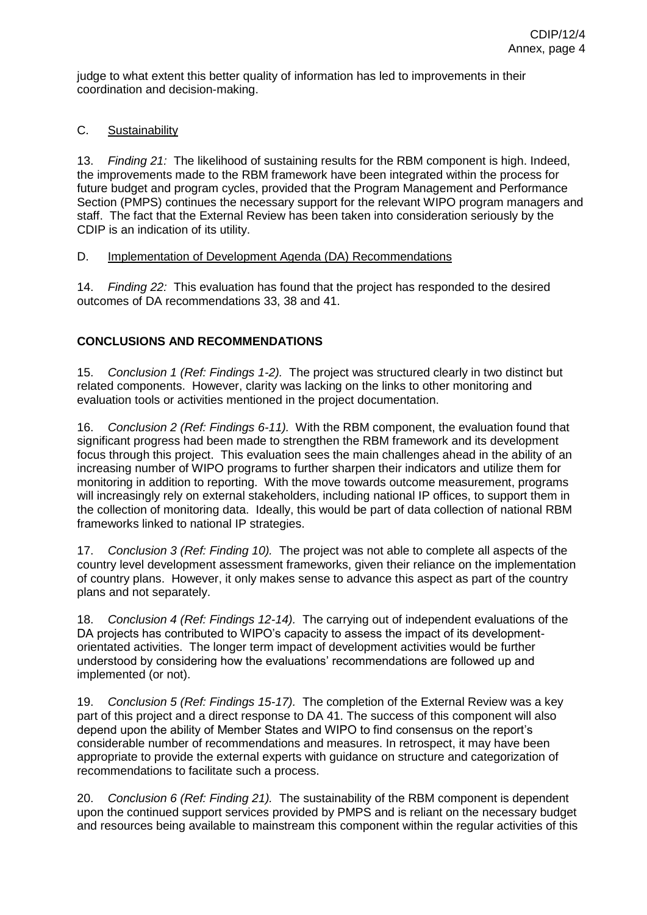judge to what extent this better quality of information has led to improvements in their coordination and decision-making.

# C. Sustainability

13. *Finding 21:* The likelihood of sustaining results for the RBM component is high. Indeed, the improvements made to the RBM framework have been integrated within the process for future budget and program cycles, provided that the Program Management and Performance Section (PMPS) continues the necessary support for the relevant WIPO program managers and staff. The fact that the External Review has been taken into consideration seriously by the CDIP is an indication of its utility.

#### D. Implementation of Development Agenda (DA) Recommendations

14. *Finding 22:* This evaluation has found that the project has responded to the desired outcomes of DA recommendations 33, 38 and 41.

# **CONCLUSIONS AND RECOMMENDATIONS**

15. *Conclusion 1 (Ref: Findings 1-2).* The project was structured clearly in two distinct but related components. However, clarity was lacking on the links to other monitoring and evaluation tools or activities mentioned in the project documentation.

16. *Conclusion 2 (Ref: Findings 6-11).* With the RBM component, the evaluation found that significant progress had been made to strengthen the RBM framework and its development focus through this project. This evaluation sees the main challenges ahead in the ability of an increasing number of WIPO programs to further sharpen their indicators and utilize them for monitoring in addition to reporting. With the move towards outcome measurement, programs will increasingly rely on external stakeholders, including national IP offices, to support them in the collection of monitoring data. Ideally, this would be part of data collection of national RBM frameworks linked to national IP strategies.

17. *Conclusion 3 (Ref: Finding 10).* The project was not able to complete all aspects of the country level development assessment frameworks, given their reliance on the implementation of country plans. However, it only makes sense to advance this aspect as part of the country plans and not separately.

18. *Conclusion 4 (Ref: Findings 12-14).* The carrying out of independent evaluations of the DA projects has contributed to WIPO's capacity to assess the impact of its developmentorientated activities. The longer term impact of development activities would be further understood by considering how the evaluations' recommendations are followed up and implemented (or not).

19. *Conclusion 5 (Ref: Findings 15-17).* The completion of the External Review was a key part of this project and a direct response to DA 41. The success of this component will also depend upon the ability of Member States and WIPO to find consensus on the report's considerable number of recommendations and measures. In retrospect, it may have been appropriate to provide the external experts with guidance on structure and categorization of recommendations to facilitate such a process.

20. *Conclusion 6 (Ref: Finding 21).* The sustainability of the RBM component is dependent upon the continued support services provided by PMPS and is reliant on the necessary budget and resources being available to mainstream this component within the regular activities of this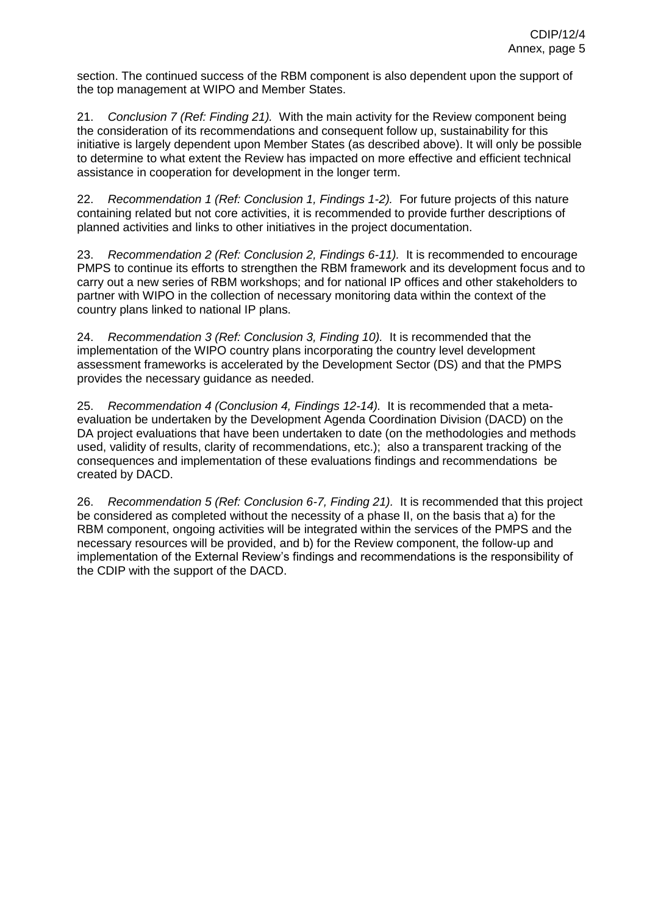section. The continued success of the RBM component is also dependent upon the support of the top management at WIPO and Member States.

21. *Conclusion 7 (Ref: Finding 21).* With the main activity for the Review component being the consideration of its recommendations and consequent follow up, sustainability for this initiative is largely dependent upon Member States (as described above). It will only be possible to determine to what extent the Review has impacted on more effective and efficient technical assistance in cooperation for development in the longer term.

22. *Recommendation 1 (Ref: Conclusion 1, Findings 1-2).* For future projects of this nature containing related but not core activities, it is recommended to provide further descriptions of planned activities and links to other initiatives in the project documentation.

23. *Recommendation 2 (Ref: Conclusion 2, Findings 6-11).* It is recommended to encourage PMPS to continue its efforts to strengthen the RBM framework and its development focus and to carry out a new series of RBM workshops; and for national IP offices and other stakeholders to partner with WIPO in the collection of necessary monitoring data within the context of the country plans linked to national IP plans.

24. *Recommendation 3 (Ref: Conclusion 3, Finding 10).* It is recommended that the implementation of the WIPO country plans incorporating the country level development assessment frameworks is accelerated by the Development Sector (DS) and that the PMPS provides the necessary guidance as needed.

25. *Recommendation 4 (Conclusion 4, Findings 12-14).* It is recommended that a metaevaluation be undertaken by the Development Agenda Coordination Division (DACD) on the DA project evaluations that have been undertaken to date (on the methodologies and methods used, validity of results, clarity of recommendations, etc.); also a transparent tracking of the consequences and implementation of these evaluations findings and recommendations be created by DACD.

26. *Recommendation 5 (Ref: Conclusion 6-7, Finding 21).* It is recommended that this project be considered as completed without the necessity of a phase II, on the basis that a) for the RBM component, ongoing activities will be integrated within the services of the PMPS and the necessary resources will be provided, and b) for the Review component, the follow-up and implementation of the External Review's findings and recommendations is the responsibility of the CDIP with the support of the DACD.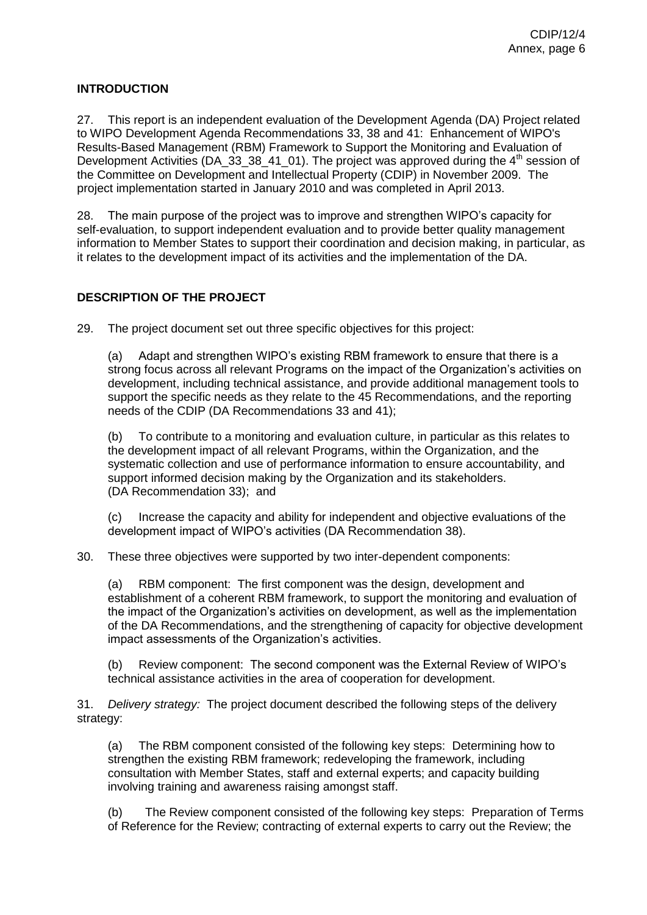# <span id="page-6-0"></span>**INTRODUCTION**

27. This report is an independent evaluation of the Development Agenda (DA) Project related to WIPO Development Agenda Recommendations 33, 38 and 41: Enhancement of WIPO's Results-Based Management (RBM) Framework to Support the Monitoring and Evaluation of Development Activities (DA\_33\_38\_41\_01). The project was approved during the  $4<sup>th</sup>$  session of the Committee on Development and Intellectual Property (CDIP) in November 2009. The project implementation started in January 2010 and was completed in April 2013.

28. The main purpose of the project was to improve and strengthen WIPO's capacity for self-evaluation, to support independent evaluation and to provide better quality management information to Member States to support their coordination and decision making, in particular, as it relates to the development impact of its activities and the implementation of the DA.

# <span id="page-6-1"></span>**DESCRIPTION OF THE PROJECT**

29. The project document set out three specific objectives for this project:

(a) Adapt and strengthen WIPO's existing RBM framework to ensure that there is a strong focus across all relevant Programs on the impact of the Organization's activities on development, including technical assistance, and provide additional management tools to support the specific needs as they relate to the 45 Recommendations, and the reporting needs of the CDIP (DA Recommendations 33 and 41);

(b) To contribute to a monitoring and evaluation culture, in particular as this relates to the development impact of all relevant Programs, within the Organization, and the systematic collection and use of performance information to ensure accountability, and support informed decision making by the Organization and its stakeholders. (DA Recommendation 33); and

(c) Increase the capacity and ability for independent and objective evaluations of the development impact of WIPO's activities (DA Recommendation 38).

30. These three objectives were supported by two inter-dependent components:

(a) RBM component: The first component was the design, development and establishment of a coherent RBM framework, to support the monitoring and evaluation of the impact of the Organization's activities on development, as well as the implementation of the DA Recommendations, and the strengthening of capacity for objective development impact assessments of the Organization's activities.

(b) Review component: The second component was the External Review of WIPO's technical assistance activities in the area of cooperation for development.

31. *Delivery strategy:* The project document described the following steps of the delivery strategy:

(a) The RBM component consisted of the following key steps: Determining how to strengthen the existing RBM framework; redeveloping the framework, including consultation with Member States, staff and external experts; and capacity building involving training and awareness raising amongst staff.

(b) The Review component consisted of the following key steps: Preparation of Terms of Reference for the Review; contracting of external experts to carry out the Review; the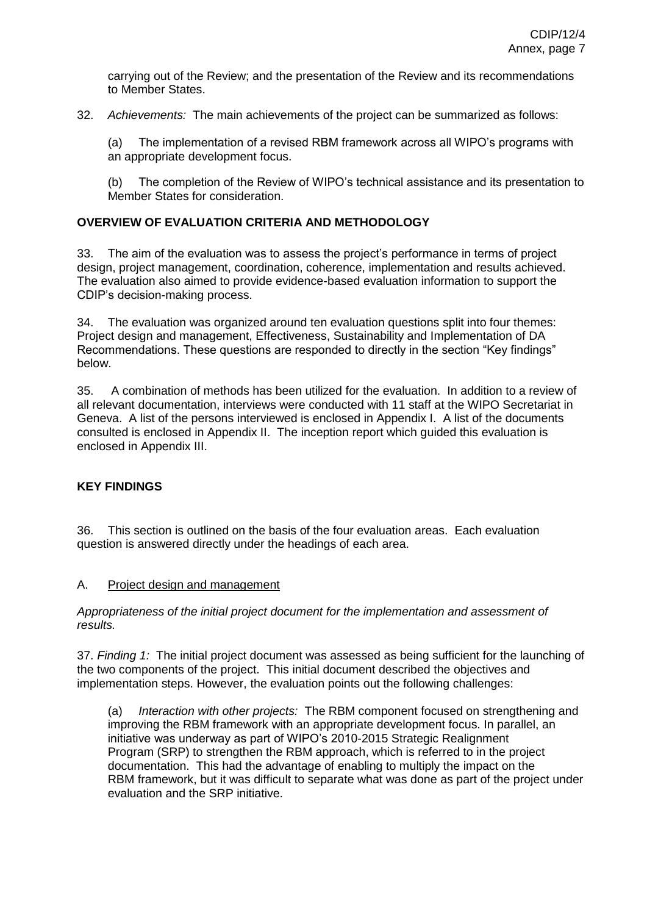carrying out of the Review; and the presentation of the Review and its recommendations to Member States.

<span id="page-7-0"></span>32. *Achievements:* The main achievements of the project can be summarized as follows:

(a) The implementation of a revised RBM framework across all WIPO's programs with an appropriate development focus.

(b) The completion of the Review of WIPO's technical assistance and its presentation to Member States for consideration.

# **OVERVIEW OF EVALUATION CRITERIA AND METHODOLOGY**

33. The aim of the evaluation was to assess the project's performance in terms of project design, project management, coordination, coherence, implementation and results achieved. The evaluation also aimed to provide evidence-based evaluation information to support the CDIP's decision-making process.

34. The evaluation was organized around ten evaluation questions split into four themes: Project design and management, Effectiveness, Sustainability and Implementation of DA Recommendations. These questions are responded to directly in the section "Key findings" below.

35. A combination of methods has been utilized for the evaluation. In addition to a review of all relevant documentation, interviews were conducted with 11 staff at the WIPO Secretariat in Geneva. A list of the persons interviewed is enclosed in Appendix I. A list of the documents consulted is enclosed in Appendix II. The inception report which guided this evaluation is enclosed in Appendix III.

# <span id="page-7-1"></span>**KEY FINDINGS**

36. This section is outlined on the basis of the four evaluation areas. Each evaluation question is answered directly under the headings of each area.

#### A. Project design and management

*Appropriateness of the initial project document for the implementation and assessment of results.* 

37. *Finding 1:* The initial project document was assessed as being sufficient for the launching of the two components of the project. This initial document described the objectives and implementation steps. However, the evaluation points out the following challenges:

(a) *Interaction with other projects:* The RBM component focused on strengthening and improving the RBM framework with an appropriate development focus. In parallel, an initiative was underway as part of WIPO's 2010-2015 Strategic Realignment Program (SRP) to strengthen the RBM approach, which is referred to in the project documentation. This had the advantage of enabling to multiply the impact on the RBM framework, but it was difficult to separate what was done as part of the project under evaluation and the SRP initiative.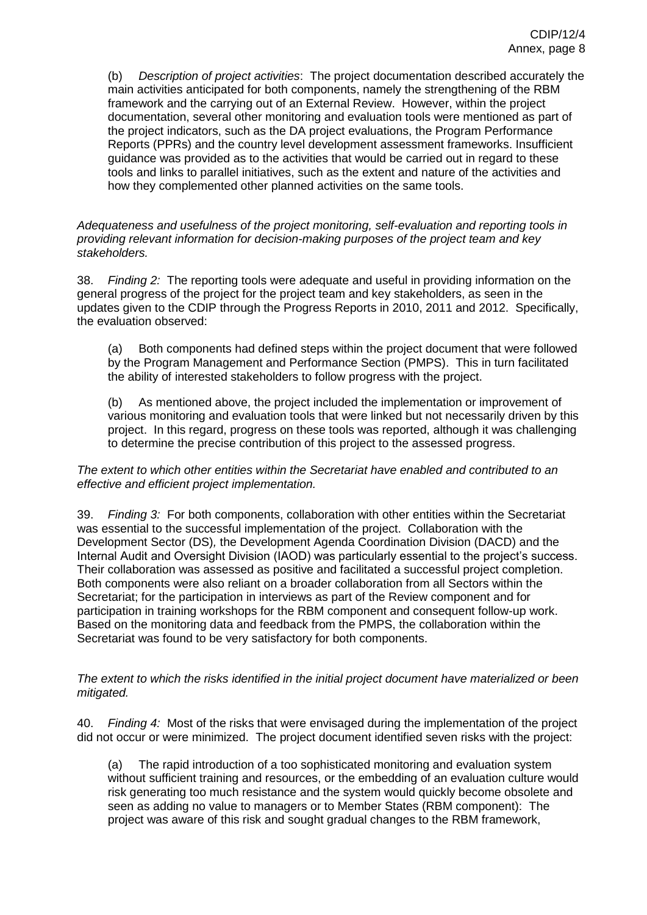(b) *Description of project activities*: The project documentation described accurately the main activities anticipated for both components, namely the strengthening of the RBM framework and the carrying out of an External Review. However, within the project documentation, several other monitoring and evaluation tools were mentioned as part of the project indicators, such as the DA project evaluations, the Program Performance Reports (PPRs) and the country level development assessment frameworks. Insufficient guidance was provided as to the activities that would be carried out in regard to these tools and links to parallel initiatives, such as the extent and nature of the activities and how they complemented other planned activities on the same tools.

*Adequateness and usefulness of the project monitoring, self-evaluation and reporting tools in providing relevant information for decision-making purposes of the project team and key stakeholders.* 

38. *Finding 2:* The reporting tools were adequate and useful in providing information on the general progress of the project for the project team and key stakeholders, as seen in the updates given to the CDIP through the Progress Reports in 2010, 2011 and 2012. Specifically, the evaluation observed:

(a) Both components had defined steps within the project document that were followed by the Program Management and Performance Section (PMPS). This in turn facilitated the ability of interested stakeholders to follow progress with the project.

(b) As mentioned above, the project included the implementation or improvement of various monitoring and evaluation tools that were linked but not necessarily driven by this project. In this regard, progress on these tools was reported, although it was challenging to determine the precise contribution of this project to the assessed progress.

*The extent to which other entities within the Secretariat have enabled and contributed to an effective and efficient project implementation.* 

39. *Finding 3:* For both components, collaboration with other entities within the Secretariat was essential to the successful implementation of the project. Collaboration with the Development Sector (DS)*,* the Development Agenda Coordination Division (DACD) and the Internal Audit and Oversight Division (IAOD) was particularly essential to the project's success. Their collaboration was assessed as positive and facilitated a successful project completion. Both components were also reliant on a broader collaboration from all Sectors within the Secretariat; for the participation in interviews as part of the Review component and for participation in training workshops for the RBM component and consequent follow-up work. Based on the monitoring data and feedback from the PMPS, the collaboration within the Secretariat was found to be very satisfactory for both components.

#### *The extent to which the risks identified in the initial project document have materialized or been mitigated.*

40. *Finding 4:* Most of the risks that were envisaged during the implementation of the project did not occur or were minimized. The project document identified seven risks with the project:

(a) The rapid introduction of a too sophisticated monitoring and evaluation system without sufficient training and resources, or the embedding of an evaluation culture would risk generating too much resistance and the system would quickly become obsolete and seen as adding no value to managers or to Member States (RBM component): The project was aware of this risk and sought gradual changes to the RBM framework,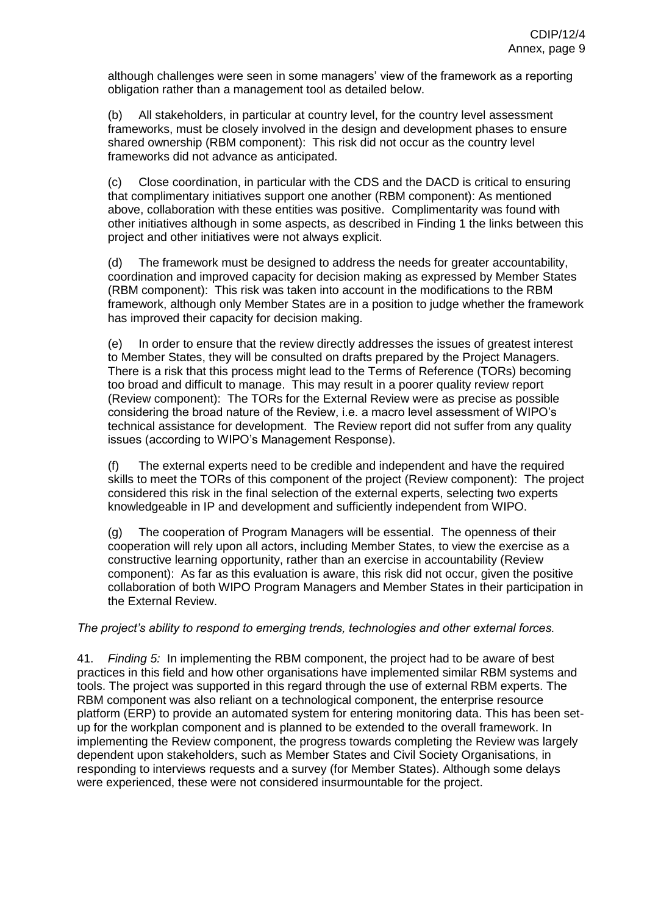although challenges were seen in some managers' view of the framework as a reporting obligation rather than a management tool as detailed below.

(b) All stakeholders, in particular at country level, for the country level assessment frameworks, must be closely involved in the design and development phases to ensure shared ownership (RBM component): This risk did not occur as the country level frameworks did not advance as anticipated.

(c) Close coordination, in particular with the CDS and the DACD is critical to ensuring that complimentary initiatives support one another (RBM component): As mentioned above, collaboration with these entities was positive. Complimentarity was found with other initiatives although in some aspects, as described in Finding 1 the links between this project and other initiatives were not always explicit.

(d) The framework must be designed to address the needs for greater accountability, coordination and improved capacity for decision making as expressed by Member States (RBM component): This risk was taken into account in the modifications to the RBM framework, although only Member States are in a position to judge whether the framework has improved their capacity for decision making.

(e) In order to ensure that the review directly addresses the issues of greatest interest to Member States, they will be consulted on drafts prepared by the Project Managers. There is a risk that this process might lead to the Terms of Reference (TORs) becoming too broad and difficult to manage. This may result in a poorer quality review report (Review component): The TORs for the External Review were as precise as possible considering the broad nature of the Review, i.e. a macro level assessment of WIPO's technical assistance for development. The Review report did not suffer from any quality issues (according to WIPO's Management Response).

(f) The external experts need to be credible and independent and have the required skills to meet the TORs of this component of the project (Review component): The project considered this risk in the final selection of the external experts, selecting two experts knowledgeable in IP and development and sufficiently independent from WIPO.

(g) The cooperation of Program Managers will be essential. The openness of their cooperation will rely upon all actors, including Member States, to view the exercise as a constructive learning opportunity, rather than an exercise in accountability (Review component): As far as this evaluation is aware, this risk did not occur, given the positive collaboration of both WIPO Program Managers and Member States in their participation in the External Review.

#### *The project's ability to respond to emerging trends, technologies and other external forces.*

41. *Finding 5:* In implementing the RBM component, the project had to be aware of best practices in this field and how other organisations have implemented similar RBM systems and tools. The project was supported in this regard through the use of external RBM experts. The RBM component was also reliant on a technological component, the enterprise resource platform (ERP) to provide an automated system for entering monitoring data. This has been setup for the workplan component and is planned to be extended to the overall framework. In implementing the Review component, the progress towards completing the Review was largely dependent upon stakeholders, such as Member States and Civil Society Organisations, in responding to interviews requests and a survey (for Member States). Although some delays were experienced, these were not considered insurmountable for the project.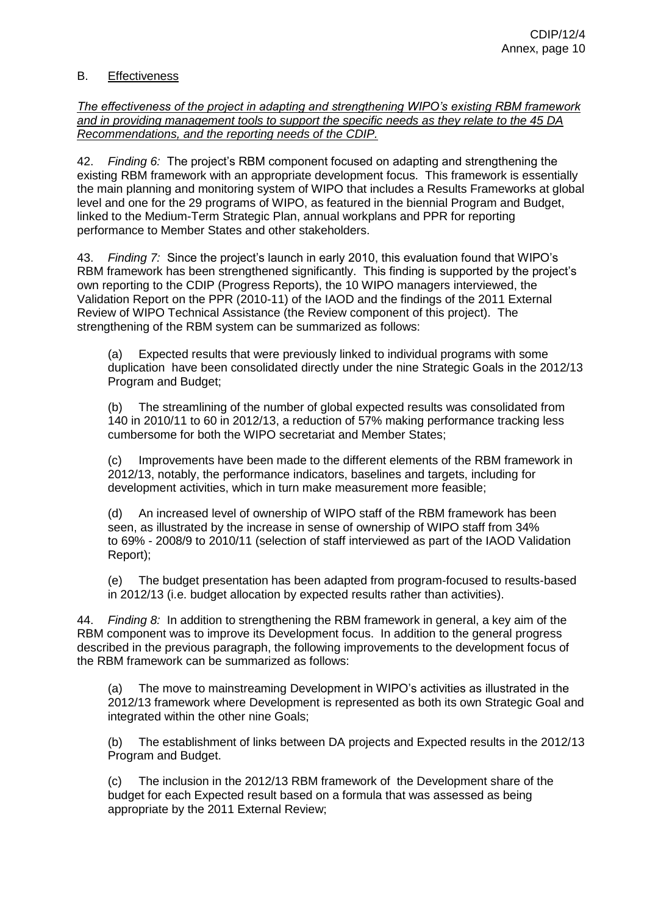# <span id="page-10-0"></span>B. Effectiveness

*The effectiveness of the project in adapting and strengthening WIPO's existing RBM framework and in providing management tools to support the specific needs as they relate to the 45 DA Recommendations, and the reporting needs of the CDIP.*

42. *Finding 6:* The project's RBM component focused on adapting and strengthening the existing RBM framework with an appropriate development focus. This framework is essentially the main planning and monitoring system of WIPO that includes a Results Frameworks at global level and one for the 29 programs of WIPO, as featured in the biennial Program and Budget, linked to the Medium-Term Strategic Plan, annual workplans and PPR for reporting performance to Member States and other stakeholders.

43. *Finding 7:* Since the project's launch in early 2010, this evaluation found that WIPO's RBM framework has been strengthened significantly. This finding is supported by the project's own reporting to the CDIP (Progress Reports), the 10 WIPO managers interviewed, the Validation Report on the PPR (2010-11) of the IAOD and the findings of the 2011 External Review of WIPO Technical Assistance (the Review component of this project). The strengthening of the RBM system can be summarized as follows:

(a) Expected results that were previously linked to individual programs with some duplication have been consolidated directly under the nine Strategic Goals in the 2012/13 Program and Budget;

(b) The streamlining of the number of global expected results was consolidated from 140 in 2010/11 to 60 in 2012/13, a reduction of 57% making performance tracking less cumbersome for both the WIPO secretariat and Member States;

(c) Improvements have been made to the different elements of the RBM framework in 2012/13, notably, the performance indicators, baselines and targets, including for development activities, which in turn make measurement more feasible;

(d) An increased level of ownership of WIPO staff of the RBM framework has been seen, as illustrated by the increase in sense of ownership of WIPO staff from 34% to 69% - 2008/9 to 2010/11 (selection of staff interviewed as part of the IAOD Validation Report);

(e) The budget presentation has been adapted from program-focused to results-based in 2012/13 (i.e. budget allocation by expected results rather than activities).

44. *Finding 8:* In addition to strengthening the RBM framework in general, a key aim of the RBM component was to improve its Development focus. In addition to the general progress described in the previous paragraph, the following improvements to the development focus of the RBM framework can be summarized as follows:

(a) The move to mainstreaming Development in WIPO's activities as illustrated in the 2012/13 framework where Development is represented as both its own Strategic Goal and integrated within the other nine Goals;

(b) The establishment of links between DA projects and Expected results in the 2012/13 Program and Budget.

(c) The inclusion in the 2012/13 RBM framework of the Development share of the budget for each Expected result based on a formula that was assessed as being appropriate by the 2011 External Review;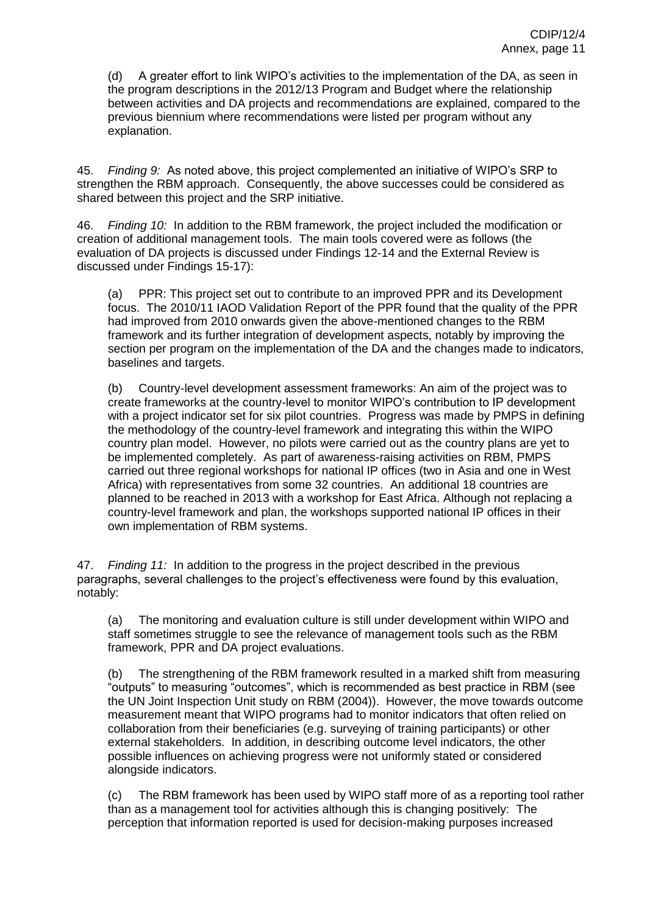(d) A greater effort to link WIPO's activities to the implementation of the DA, as seen in the program descriptions in the 2012/13 Program and Budget where the relationship between activities and DA projects and recommendations are explained, compared to the previous biennium where recommendations were listed per program without any explanation.

45. *Finding 9:* As noted above, this project complemented an initiative of WIPO's SRP to strengthen the RBM approach. Consequently, the above successes could be considered as shared between this project and the SRP initiative.

46. *Finding 10:* In addition to the RBM framework, the project included the modification or creation of additional management tools. The main tools covered were as follows (the evaluation of DA projects is discussed under Findings 12-14 and the External Review is discussed under Findings 15-17):

(a) PPR: This project set out to contribute to an improved PPR and its Development focus. The 2010/11 IAOD Validation Report of the PPR found that the quality of the PPR had improved from 2010 onwards given the above-mentioned changes to the RBM framework and its further integration of development aspects, notably by improving the section per program on the implementation of the DA and the changes made to indicators, baselines and targets.

(b) Country-level development assessment frameworks: An aim of the project was to create frameworks at the country-level to monitor WIPO's contribution to IP development with a project indicator set for six pilot countries. Progress was made by PMPS in defining the methodology of the country-level framework and integrating this within the WIPO country plan model. However, no pilots were carried out as the country plans are yet to be implemented completely. As part of awareness-raising activities on RBM, PMPS carried out three regional workshops for national IP offices (two in Asia and one in West Africa) with representatives from some 32 countries. An additional 18 countries are planned to be reached in 2013 with a workshop for East Africa. Although not replacing a country-level framework and plan, the workshops supported national IP offices in their own implementation of RBM systems.

47. *Finding 11:* In addition to the progress in the project described in the previous paragraphs, several challenges to the project's effectiveness were found by this evaluation, notably:

(a) The monitoring and evaluation culture is still under development within WIPO and staff sometimes struggle to see the relevance of management tools such as the RBM framework, PPR and DA project evaluations.

(b) The strengthening of the RBM framework resulted in a marked shift from measuring "outputs" to measuring "outcomes", which is recommended as best practice in RBM (see the UN Joint Inspection Unit study on RBM (2004)). However, the move towards outcome measurement meant that WIPO programs had to monitor indicators that often relied on collaboration from their beneficiaries (e.g. surveying of training participants) or other external stakeholders. In addition, in describing outcome level indicators, the other possible influences on achieving progress were not uniformly stated or considered alongside indicators.

(c) The RBM framework has been used by WIPO staff more of as a reporting tool rather than as a management tool for activities although this is changing positively: The perception that information reported is used for decision-making purposes increased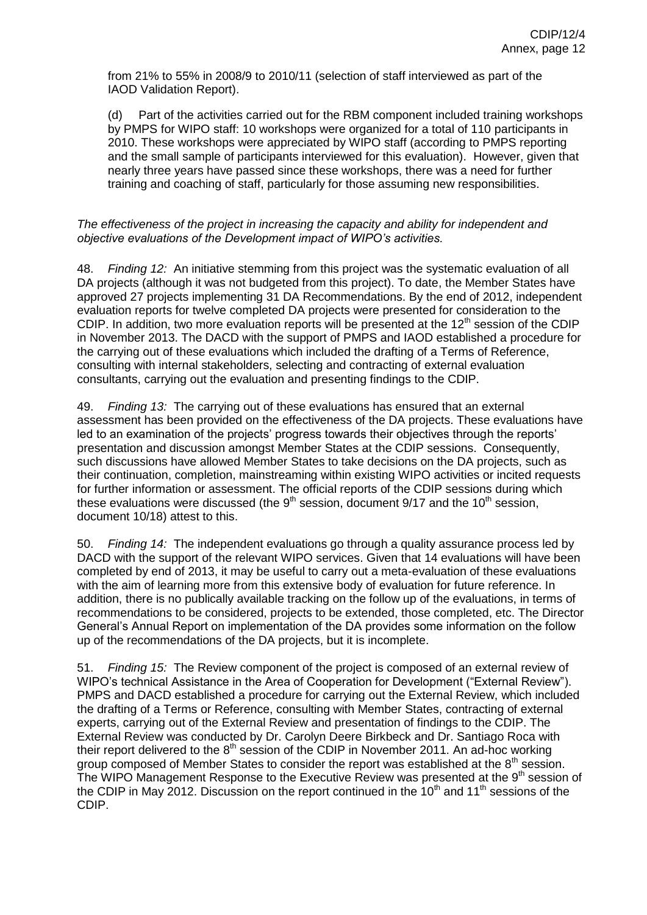from 21% to 55% in 2008/9 to 2010/11 (selection of staff interviewed as part of the IAOD Validation Report).

(d) Part of the activities carried out for the RBM component included training workshops by PMPS for WIPO staff: 10 workshops were organized for a total of 110 participants in 2010. These workshops were appreciated by WIPO staff (according to PMPS reporting and the small sample of participants interviewed for this evaluation). However, given that nearly three years have passed since these workshops, there was a need for further training and coaching of staff, particularly for those assuming new responsibilities.

#### *The effectiveness of the project in increasing the capacity and ability for independent and objective evaluations of the Development impact of WIPO's activities.*

48. *Finding 12:* An initiative stemming from this project was the systematic evaluation of all DA projects (although it was not budgeted from this project). To date, the Member States have approved 27 projects implementing 31 DA Recommendations. By the end of 2012, independent evaluation reports for twelve completed DA projects were presented for consideration to the CDIP. In addition, two more evaluation reports will be presented at the  $12<sup>th</sup>$  session of the CDIP in November 2013. The DACD with the support of PMPS and IAOD established a procedure for the carrying out of these evaluations which included the drafting of a Terms of Reference, consulting with internal stakeholders, selecting and contracting of external evaluation consultants, carrying out the evaluation and presenting findings to the CDIP.

49. *Finding 13:* The carrying out of these evaluations has ensured that an external assessment has been provided on the effectiveness of the DA projects. These evaluations have led to an examination of the projects' progress towards their objectives through the reports' presentation and discussion amongst Member States at the CDIP sessions. Consequently, such discussions have allowed Member States to take decisions on the DA projects, such as their continuation, completion, mainstreaming within existing WIPO activities or incited requests for further information or assessment. The official reports of the CDIP sessions during which these evaluations were discussed (the  $9<sup>th</sup>$  session, document  $9/17$  and the  $10<sup>th</sup>$  session, document 10/18) attest to this.

50. *Finding 14:* The independent evaluations go through a quality assurance process led by DACD with the support of the relevant WIPO services. Given that 14 evaluations will have been completed by end of 2013, it may be useful to carry out a meta-evaluation of these evaluations with the aim of learning more from this extensive body of evaluation for future reference. In addition, there is no publically available tracking on the follow up of the evaluations, in terms of recommendations to be considered, projects to be extended, those completed, etc. The Director General's Annual Report on implementation of the DA provides some information on the follow up of the recommendations of the DA projects, but it is incomplete.

51. *Finding 15:* The Review component of the project is composed of an external review of WIPO's technical Assistance in the Area of Cooperation for Development ("External Review"). PMPS and DACD established a procedure for carrying out the External Review, which included the drafting of a Terms or Reference, consulting with Member States, contracting of external experts, carrying out of the External Review and presentation of findings to the CDIP. The External Review was conducted by Dr. Carolyn Deere Birkbeck and Dr. Santiago Roca with their report delivered to the  $8<sup>th</sup>$  session of the CDIP in November 2011. An ad-hoc working group composed of Member States to consider the report was established at the  $8<sup>th</sup>$  session. The WIPO Management Response to the Executive Review was presented at the 9<sup>th</sup> session of the CDIP in May 2012. Discussion on the report continued in the  $10<sup>th</sup>$  and  $11<sup>th</sup>$  sessions of the CDIP.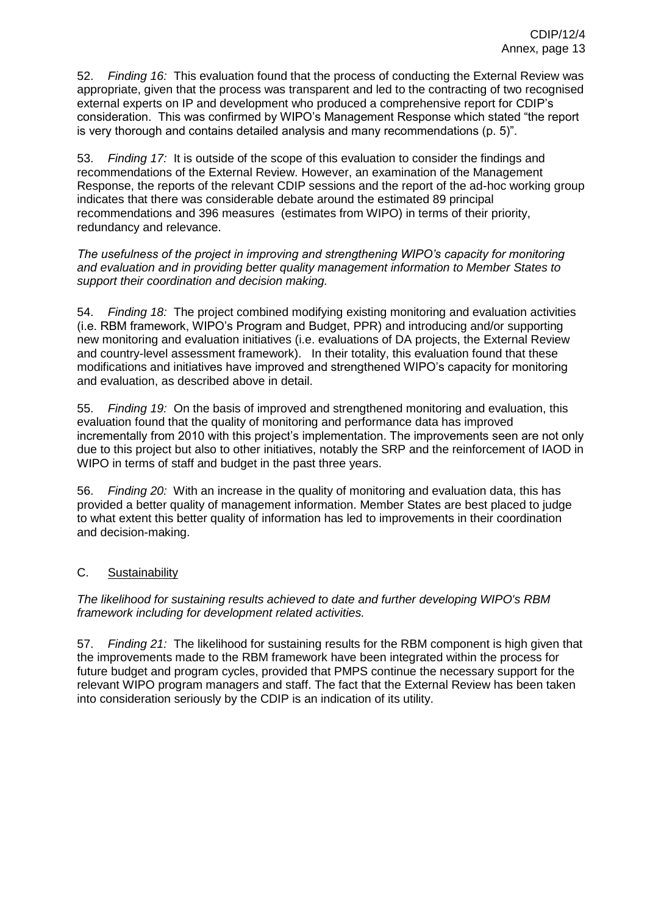52. *Finding 16:* This evaluation found that the process of conducting the External Review was appropriate, given that the process was transparent and led to the contracting of two recognised external experts on IP and development who produced a comprehensive report for CDIP's consideration. This was confirmed by WIPO's Management Response which stated "the report is very thorough and contains detailed analysis and many recommendations (p. 5)".

53. *Finding 17:* It is outside of the scope of this evaluation to consider the findings and recommendations of the External Review. However, an examination of the Management Response, the reports of the relevant CDIP sessions and the report of the ad-hoc working group indicates that there was considerable debate around the estimated 89 principal recommendations and 396 measures (estimates from WIPO) in terms of their priority, redundancy and relevance.

#### *The usefulness of the project in improving and strengthening WIPO's capacity for monitoring and evaluation and in providing better quality management information to Member States to support their coordination and decision making.*

54. *Finding 18:* The project combined modifying existing monitoring and evaluation activities (i.e. RBM framework, WIPO's Program and Budget, PPR) and introducing and/or supporting new monitoring and evaluation initiatives (i.e. evaluations of DA projects, the External Review and country-level assessment framework). In their totality, this evaluation found that these modifications and initiatives have improved and strengthened WIPO's capacity for monitoring and evaluation, as described above in detail.

55. *Finding 19:* On the basis of improved and strengthened monitoring and evaluation, this evaluation found that the quality of monitoring and performance data has improved incrementally from 2010 with this project's implementation. The improvements seen are not only due to this project but also to other initiatives, notably the SRP and the reinforcement of IAOD in WIPO in terms of staff and budget in the past three years.

56. *Finding 20:* With an increase in the quality of monitoring and evaluation data, this has provided a better quality of management information. Member States are best placed to judge to what extent this better quality of information has led to improvements in their coordination and decision-making.

# <span id="page-13-0"></span>C. Sustainability

*The likelihood for sustaining results achieved to date and further developing WIPO's RBM framework including for development related activities.* 

57. *Finding 21:* The likelihood for sustaining results for the RBM component is high given that the improvements made to the RBM framework have been integrated within the process for future budget and program cycles, provided that PMPS continue the necessary support for the relevant WIPO program managers and staff. The fact that the External Review has been taken into consideration seriously by the CDIP is an indication of its utility.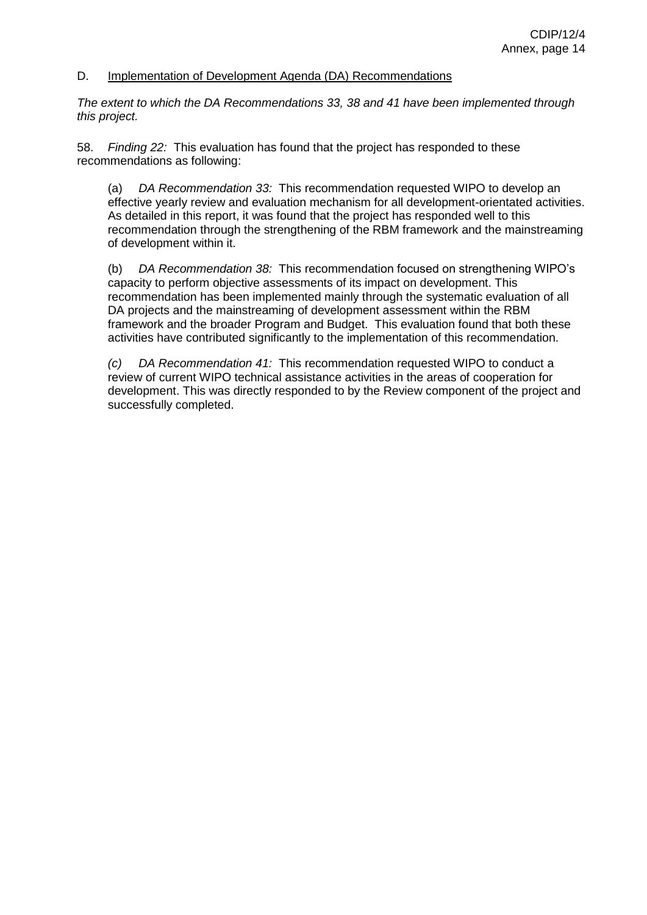#### <span id="page-14-0"></span>D. Implementation of Development Agenda (DA) Recommendations

*The extent to which the DA Recommendations 33, 38 and 41 have been implemented through this project.*

58. *Finding 22:* This evaluation has found that the project has responded to these recommendations as following:

(a) *DA Recommendation 33:* This recommendation requested WIPO to develop an effective yearly review and evaluation mechanism for all development-orientated activities. As detailed in this report, it was found that the project has responded well to this recommendation through the strengthening of the RBM framework and the mainstreaming of development within it.

(b) *DA Recommendation 38:* This recommendation focused on strengthening WIPO's capacity to perform objective assessments of its impact on development. This recommendation has been implemented mainly through the systematic evaluation of all DA projects and the mainstreaming of development assessment within the RBM framework and the broader Program and Budget. This evaluation found that both these activities have contributed significantly to the implementation of this recommendation.

<span id="page-14-1"></span>*(c) DA Recommendation 41:* This recommendation requested WIPO to conduct a review of current WIPO technical assistance activities in the areas of cooperation for development. This was directly responded to by the Review component of the project and successfully completed.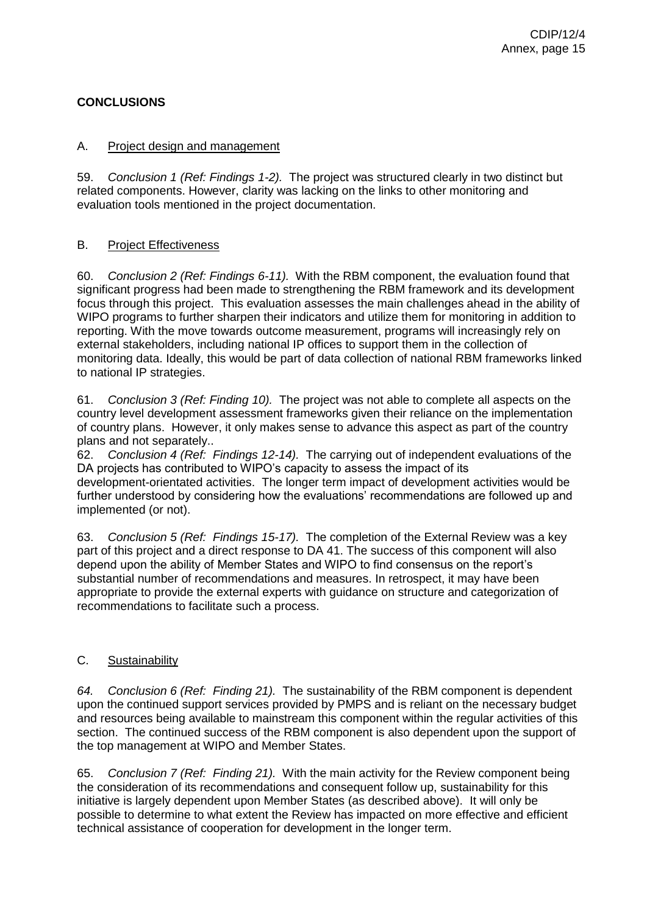# **CONCLUSIONS**

#### A. Project design and management

59. *Conclusion 1 (Ref: Findings 1-2).* The project was structured clearly in two distinct but related components. However, clarity was lacking on the links to other monitoring and evaluation tools mentioned in the project documentation.

#### B. Project Effectiveness

60. *Conclusion 2 (Ref: Findings 6-11).* With the RBM component, the evaluation found that significant progress had been made to strengthening the RBM framework and its development focus through this project. This evaluation assesses the main challenges ahead in the ability of WIPO programs to further sharpen their indicators and utilize them for monitoring in addition to reporting. With the move towards outcome measurement, programs will increasingly rely on external stakeholders, including national IP offices to support them in the collection of monitoring data. Ideally, this would be part of data collection of national RBM frameworks linked to national IP strategies.

61. *Conclusion 3 (Ref: Finding 10).* The project was not able to complete all aspects on the country level development assessment frameworks given their reliance on the implementation of country plans. However, it only makes sense to advance this aspect as part of the country plans and not separately..

62. *Conclusion 4 (Ref: Findings 12-14).* The carrying out of independent evaluations of the DA projects has contributed to WIPO's capacity to assess the impact of its development-orientated activities. The longer term impact of development activities would be further understood by considering how the evaluations' recommendations are followed up and implemented (or not).

63. *Conclusion 5 (Ref: Findings 15-17).* The completion of the External Review was a key part of this project and a direct response to DA 41. The success of this component will also depend upon the ability of Member States and WIPO to find consensus on the report's substantial number of recommendations and measures. In retrospect, it may have been appropriate to provide the external experts with guidance on structure and categorization of recommendations to facilitate such a process.

#### C. Sustainability

*64. Conclusion 6 (Ref: Finding 21).* The sustainability of the RBM component is dependent upon the continued support services provided by PMPS and is reliant on the necessary budget and resources being available to mainstream this component within the regular activities of this section. The continued success of the RBM component is also dependent upon the support of the top management at WIPO and Member States.

65. *Conclusion 7 (Ref: Finding 21).* With the main activity for the Review component being the consideration of its recommendations and consequent follow up, sustainability for this initiative is largely dependent upon Member States (as described above). It will only be possible to determine to what extent the Review has impacted on more effective and efficient technical assistance of cooperation for development in the longer term.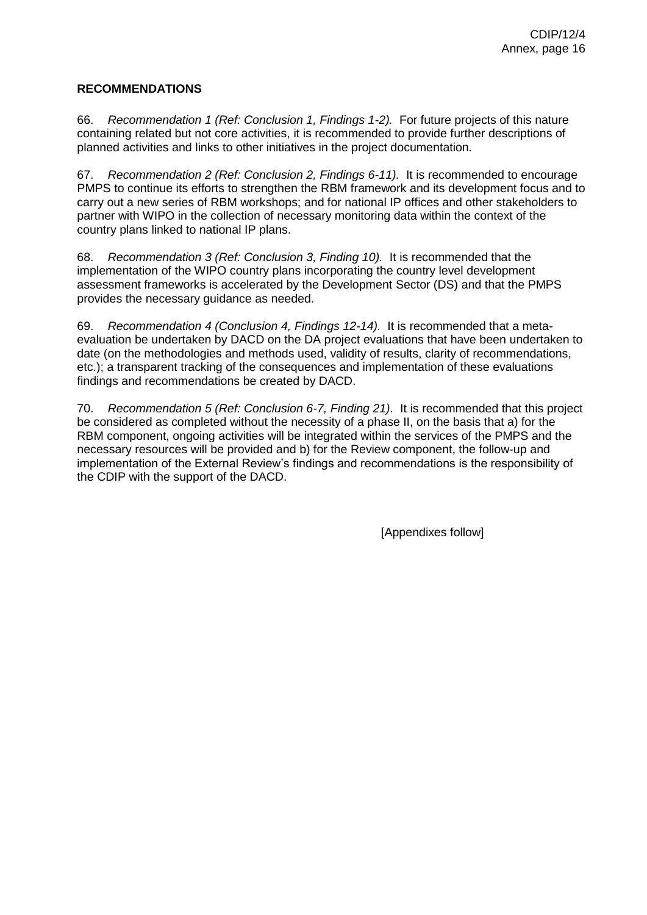#### **RECOMMENDATIONS**

66. *Recommendation 1 (Ref: Conclusion 1, Findings 1-2).* For future projects of this nature containing related but not core activities, it is recommended to provide further descriptions of planned activities and links to other initiatives in the project documentation.

67. *Recommendation 2 (Ref: Conclusion 2, Findings 6-11).* It is recommended to encourage PMPS to continue its efforts to strengthen the RBM framework and its development focus and to carry out a new series of RBM workshops; and for national IP offices and other stakeholders to partner with WIPO in the collection of necessary monitoring data within the context of the country plans linked to national IP plans.

68. *Recommendation 3 (Ref: Conclusion 3, Finding 10).* It is recommended that the implementation of the WIPO country plans incorporating the country level development assessment frameworks is accelerated by the Development Sector (DS) and that the PMPS provides the necessary guidance as needed.

69. *Recommendation 4 (Conclusion 4, Findings 12-14).* It is recommended that a metaevaluation be undertaken by DACD on the DA project evaluations that have been undertaken to date (on the methodologies and methods used, validity of results, clarity of recommendations, etc.); a transparent tracking of the consequences and implementation of these evaluations findings and recommendations be created by DACD.

70. *Recommendation 5 (Ref: Conclusion 6-7, Finding 21).* It is recommended that this project be considered as completed without the necessity of a phase II, on the basis that a) for the RBM component, ongoing activities will be integrated within the services of the PMPS and the necessary resources will be provided and b) for the Review component, the follow-up and implementation of the External Review's findings and recommendations is the responsibility of the CDIP with the support of the DACD.

[Appendixes follow]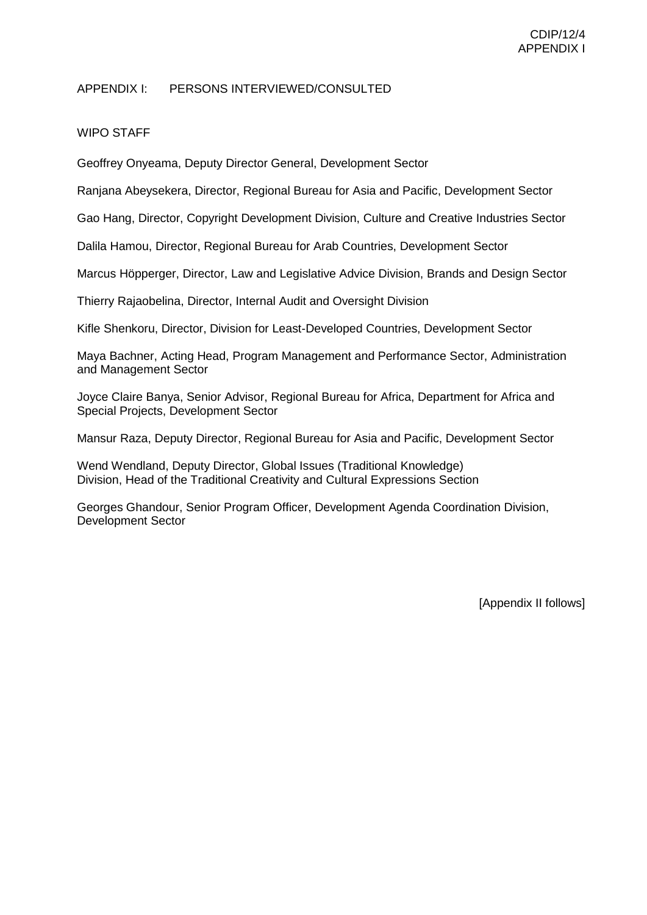#### APPENDIX I: PERSONS INTERVIEWED/CONSULTED

## WIPO STAFF

Geoffrey Onyeama, Deputy Director General, Development Sector

Ranjana Abeysekera, Director, Regional Bureau for Asia and Pacific, Development Sector

Gao Hang, Director, Copyright Development Division, Culture and Creative Industries Sector

Dalila Hamou, Director, Regional Bureau for Arab Countries, Development Sector

Marcus Höpperger, Director, Law and Legislative Advice Division, Brands and Design Sector

Thierry Rajaobelina, Director, Internal Audit and Oversight Division

Kifle Shenkoru, Director, Division for Least-Developed Countries, Development Sector

Maya Bachner, Acting Head, Program Management and Performance Sector, Administration and Management Sector

Joyce Claire Banya, Senior Advisor, Regional Bureau for Africa, Department for Africa and Special Projects, Development Sector

Mansur Raza, Deputy Director, Regional Bureau for Asia and Pacific, Development Sector

Wend Wendland, Deputy Director, Global Issues (Traditional Knowledge) Division, Head of the Traditional Creativity and Cultural Expressions Section

Georges Ghandour, Senior Program Officer, Development Agenda Coordination Division, Development Sector

[Appendix II follows]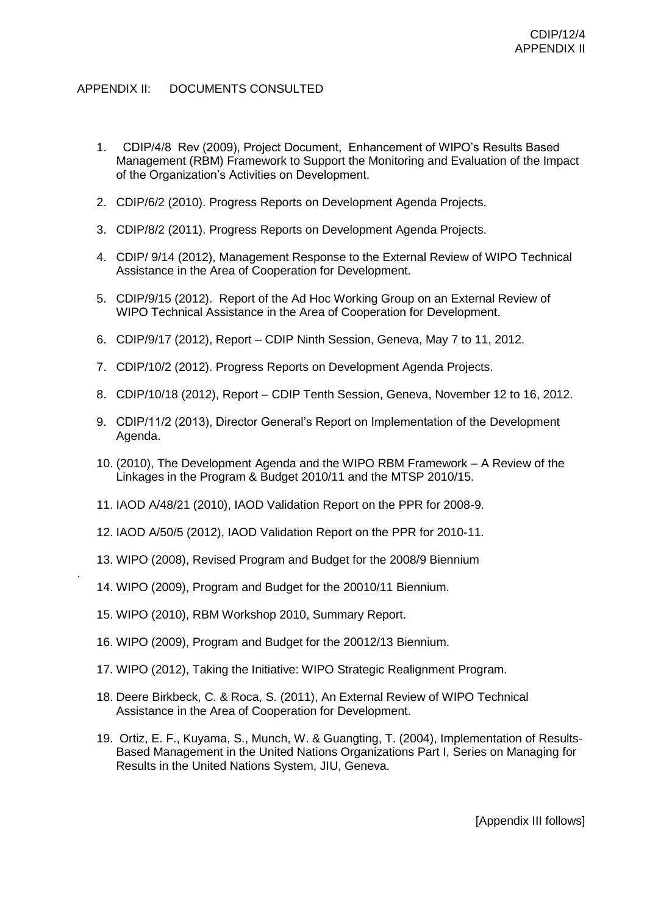# APPENDIX II: DOCUMENTS CONSULTED

- 1. CDIP/4/8 Rev (2009), Project Document, Enhancement of WIPO's Results Based Management (RBM) Framework to Support the Monitoring and Evaluation of the Impact of the Organization's Activities on Development.
- 2. CDIP/6/2 (2010). Progress Reports on Development Agenda Projects.
- 3. CDIP/8/2 (2011). Progress Reports on Development Agenda Projects.
- 4. CDIP/ 9/14 (2012), Management Response to the External Review of WIPO Technical Assistance in the Area of Cooperation for Development.
- 5. CDIP/9/15 (2012). Report of the Ad Hoc Working Group on an External Review of WIPO Technical Assistance in the Area of Cooperation for Development.
- 6. CDIP/9/17 (2012), Report CDIP Ninth Session, Geneva, May 7 to 11, 2012.
- 7. CDIP/10/2 (2012). Progress Reports on Development Agenda Projects.
- 8. CDIP/10/18 (2012), Report CDIP Tenth Session, Geneva, November 12 to 16, 2012.
- 9. CDIP/11/2 (2013), Director General's Report on Implementation of the Development Agenda.
- 10. (2010), The Development Agenda and the WIPO RBM Framework A Review of the Linkages in the Program & Budget 2010/11 and the MTSP 2010/15.
- 11. IAOD A/48/21 (2010), IAOD Validation Report on the PPR for 2008-9.
- 12. IAOD A/50/5 (2012), IAOD Validation Report on the PPR for 2010-11.
- 13. WIPO (2008), Revised Program and Budget for the 2008/9 Biennium
- 14. WIPO (2009), Program and Budget for the 20010/11 Biennium.
- 15. WIPO (2010), RBM Workshop 2010, Summary Report.

.

- 16. WIPO (2009), Program and Budget for the 20012/13 Biennium.
- 17. WIPO (2012), Taking the Initiative: WIPO Strategic Realignment Program.
- 18. Deere Birkbeck, C. & Roca, S. (2011), An External Review of WIPO Technical Assistance in the Area of Cooperation for Development.
- 19. Ortiz, E. F., Kuyama, S., Munch, W. & Guangting, T. (2004), Implementation of Results-Based Management in the United Nations Organizations Part I, Series on Managing for Results in the United Nations System, JIU, Geneva.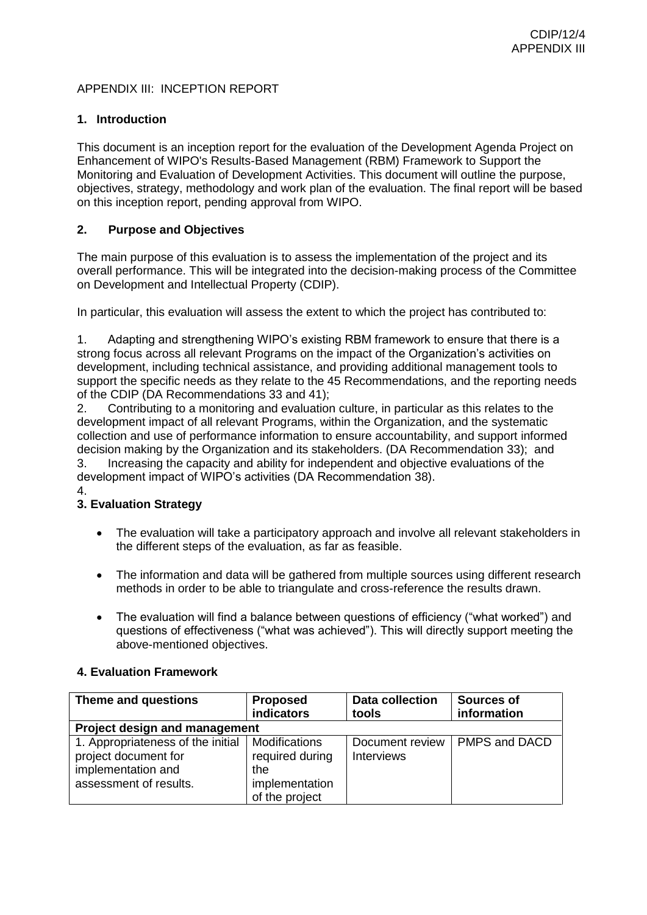# APPENDIX III: INCEPTION REPORT

### **1. Introduction**

This document is an inception report for the evaluation of the Development Agenda Project on Enhancement of WIPO's Results-Based Management (RBM) Framework to Support the Monitoring and Evaluation of Development Activities. This document will outline the purpose, objectives, strategy, methodology and work plan of the evaluation. The final report will be based on this inception report, pending approval from WIPO.

# **2. Purpose and Objectives**

The main purpose of this evaluation is to assess the implementation of the project and its overall performance. This will be integrated into the decision-making process of the Committee on Development and Intellectual Property (CDIP).

In particular, this evaluation will assess the extent to which the project has contributed to:

1. Adapting and strengthening WIPO's existing RBM framework to ensure that there is a strong focus across all relevant Programs on the impact of the Organization's activities on development, including technical assistance, and providing additional management tools to support the specific needs as they relate to the 45 Recommendations, and the reporting needs of the CDIP (DA Recommendations 33 and 41);

2. Contributing to a monitoring and evaluation culture, in particular as this relates to the development impact of all relevant Programs, within the Organization, and the systematic collection and use of performance information to ensure accountability, and support informed decision making by the Organization and its stakeholders. (DA Recommendation 33); and

3. Increasing the capacity and ability for independent and objective evaluations of the development impact of WIPO's activities (DA Recommendation 38).

4.

# **3. Evaluation Strategy**

- The evaluation will take a participatory approach and involve all relevant stakeholders in the different steps of the evaluation, as far as feasible.
- The information and data will be gathered from multiple sources using different research methods in order to be able to triangulate and cross-reference the results drawn.
- The evaluation will find a balance between questions of efficiency ("what worked") and questions of effectiveness ("what was achieved"). This will directly support meeting the above-mentioned objectives.

#### **4. Evaluation Framework**

| Theme and questions                                                                                       | <b>Proposed</b><br>indicators                                                      | <b>Data collection</b><br>tools      | Sources of<br>information |
|-----------------------------------------------------------------------------------------------------------|------------------------------------------------------------------------------------|--------------------------------------|---------------------------|
| <b>Project design and management</b>                                                                      |                                                                                    |                                      |                           |
| 1. Appropriateness of the initial<br>project document for<br>implementation and<br>assessment of results. | <b>Modifications</b><br>required during<br>the<br>implementation<br>of the project | Document review<br><b>Interviews</b> | PMPS and DACD             |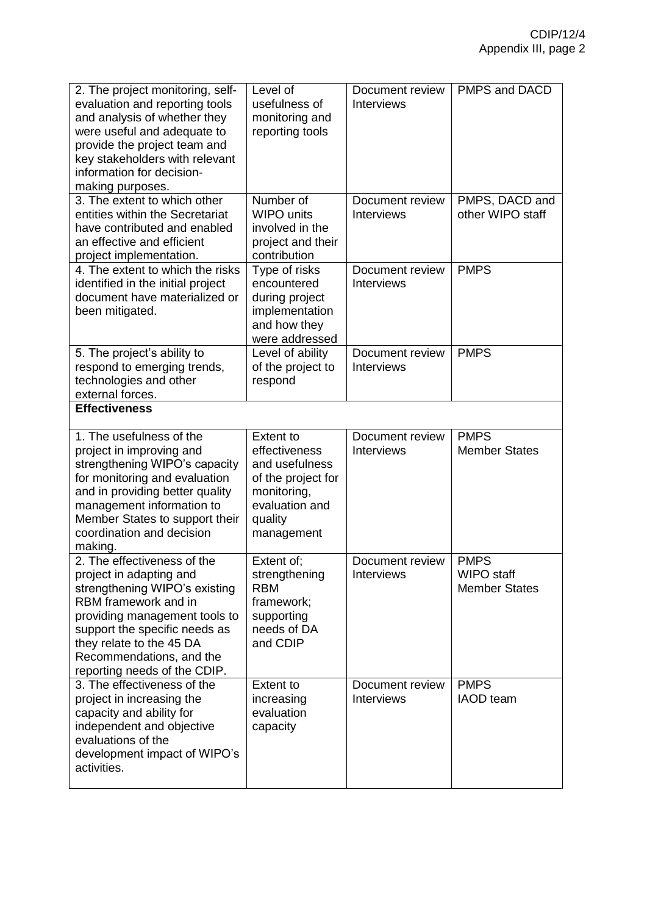| 2. The project monitoring, self-<br>evaluation and reporting tools<br>and analysis of whether they<br>were useful and adequate to<br>provide the project team and<br>key stakeholders with relevant<br>information for decision-<br>making purposes.                      | Level of<br>usefulness of<br>monitoring and<br>reporting tools                                                                      | Document review<br><b>Interviews</b> | PMPS and DACD                                            |
|---------------------------------------------------------------------------------------------------------------------------------------------------------------------------------------------------------------------------------------------------------------------------|-------------------------------------------------------------------------------------------------------------------------------------|--------------------------------------|----------------------------------------------------------|
| 3. The extent to which other<br>entities within the Secretariat<br>have contributed and enabled<br>an effective and efficient<br>project implementation.                                                                                                                  | Number of<br><b>WIPO</b> units<br>involved in the<br>project and their<br>contribution                                              | Document review<br><b>Interviews</b> | PMPS, DACD and<br>other WIPO staff                       |
| 4. The extent to which the risks<br>identified in the initial project<br>document have materialized or<br>been mitigated.                                                                                                                                                 | Type of risks<br>encountered<br>during project<br>implementation<br>and how they<br>were addressed                                  | Document review<br><b>Interviews</b> | <b>PMPS</b>                                              |
| 5. The project's ability to<br>respond to emerging trends,<br>technologies and other<br>external forces.                                                                                                                                                                  | Level of ability<br>of the project to<br>respond                                                                                    | Document review<br><b>Interviews</b> | <b>PMPS</b>                                              |
| <b>Effectiveness</b>                                                                                                                                                                                                                                                      |                                                                                                                                     |                                      |                                                          |
| 1. The usefulness of the<br>project in improving and<br>strengthening WIPO's capacity<br>for monitoring and evaluation<br>and in providing better quality<br>management information to<br>Member States to support their<br>coordination and decision<br>making.          | <b>Extent to</b><br>effectiveness<br>and usefulness<br>of the project for<br>monitoring,<br>evaluation and<br>quality<br>management | Document review<br><b>Interviews</b> | <b>PMPS</b><br><b>Member States</b>                      |
| 2. The effectiveness of the<br>project in adapting and<br>strengthening WIPO's existing<br>RBM framework and in<br>providing management tools to<br>support the specific needs as<br>they relate to the 45 DA<br>Recommendations, and the<br>reporting needs of the CDIP. | Extent of:<br>strengthening<br><b>RBM</b><br>framework;<br>supporting<br>needs of DA<br>and CDIP                                    | Document review<br><b>Interviews</b> | <b>PMPS</b><br><b>WIPO</b> staff<br><b>Member States</b> |
| 3. The effectiveness of the<br>project in increasing the<br>capacity and ability for<br>independent and objective<br>evaluations of the<br>development impact of WIPO's<br>activities.                                                                                    | <b>Extent to</b><br>increasing<br>evaluation<br>capacity                                                                            | Document review<br><b>Interviews</b> | <b>PMPS</b><br><b>IAOD</b> team                          |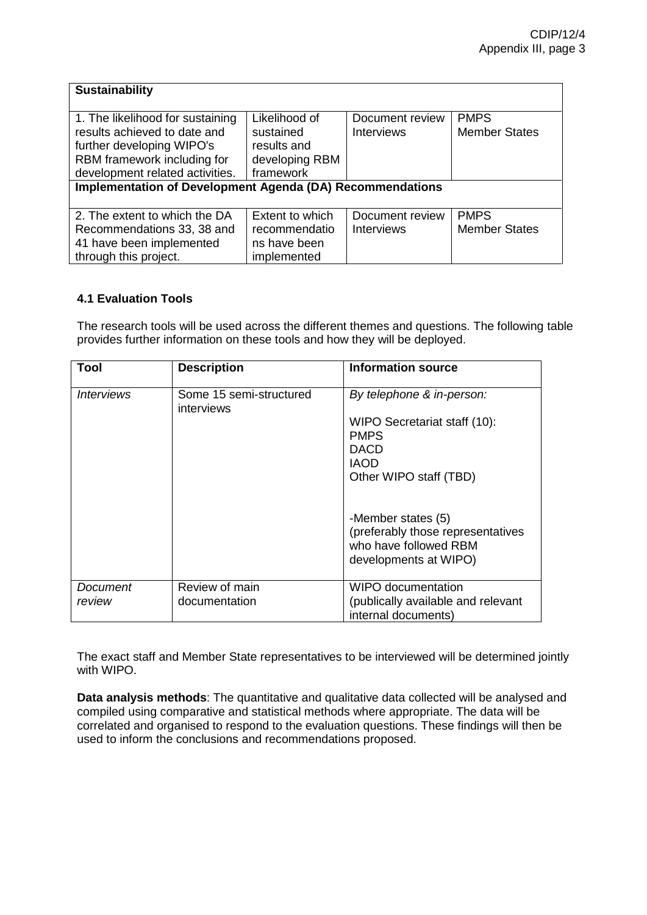| <b>Sustainability</b>                                            |                 |                   |                      |
|------------------------------------------------------------------|-----------------|-------------------|----------------------|
|                                                                  |                 |                   |                      |
| 1. The likelihood for sustaining                                 | Likelihood of   | Document review   | <b>PMPS</b>          |
| results achieved to date and                                     | sustained       | <b>Interviews</b> | <b>Member States</b> |
| further developing WIPO's                                        | results and     |                   |                      |
| RBM framework including for                                      | developing RBM  |                   |                      |
| development related activities.                                  | framework       |                   |                      |
| <b>Implementation of Development Agenda (DA) Recommendations</b> |                 |                   |                      |
|                                                                  |                 |                   |                      |
| 2. The extent to which the DA                                    | Extent to which | Document review   | <b>PMPS</b>          |
| Recommendations 33, 38 and                                       | recommendatio   | <b>Interviews</b> | <b>Member States</b> |
| 41 have been implemented                                         | ns have been    |                   |                      |
| through this project.                                            | implemented     |                   |                      |

# **4.1 Evaluation Tools**

The research tools will be used across the different themes and questions. The following table provides further information on these tools and how they will be deployed.

| Tool                            | <b>Description</b>                    | <b>Information source</b>                                                                                 |
|---------------------------------|---------------------------------------|-----------------------------------------------------------------------------------------------------------|
| <i><u><b>Interviews</b></u></i> | Some 15 semi-structured<br>interviews | By telephone & in-person:                                                                                 |
|                                 |                                       | WIPO Secretariat staff (10):                                                                              |
|                                 |                                       | <b>PMPS</b>                                                                                               |
|                                 |                                       | <b>DACD</b>                                                                                               |
|                                 |                                       | <b>IAOD</b>                                                                                               |
|                                 |                                       | Other WIPO staff (TBD)                                                                                    |
|                                 |                                       | -Member states (5)<br>(preferably those representatives<br>who have followed RBM<br>developments at WIPO) |
| Document                        | Review of main                        | WIPO documentation                                                                                        |
| review                          | documentation                         | (publically available and relevant                                                                        |
|                                 |                                       | internal documents)                                                                                       |

The exact staff and Member State representatives to be interviewed will be determined jointly with WIPO.

**Data analysis methods**: The quantitative and qualitative data collected will be analysed and compiled using comparative and statistical methods where appropriate. The data will be correlated and organised to respond to the evaluation questions. These findings will then be used to inform the conclusions and recommendations proposed.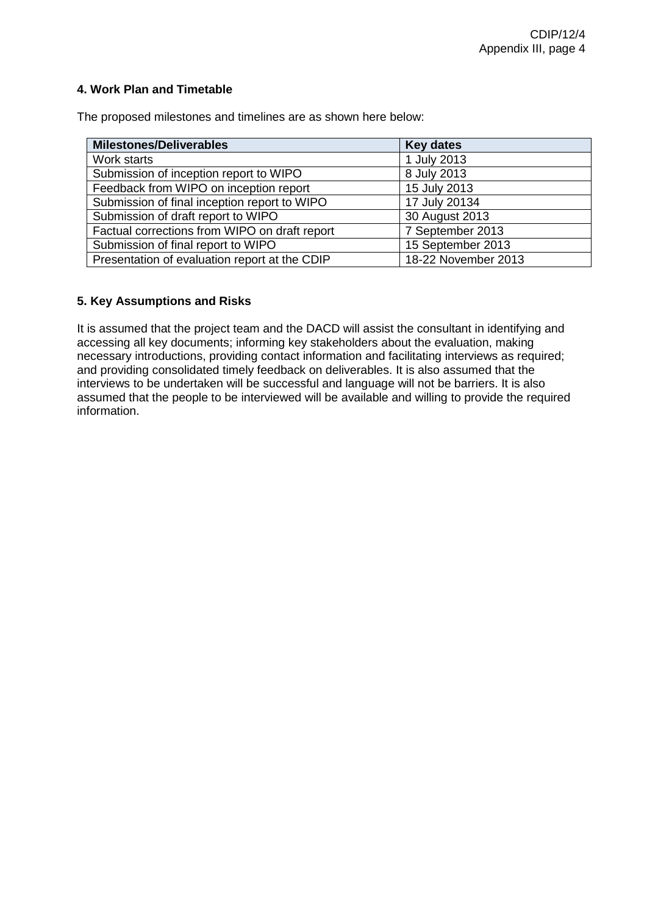# **4. Work Plan and Timetable**

The proposed milestones and timelines are as shown here below:

| <b>Milestones/Deliverables</b>                | <b>Key dates</b>    |
|-----------------------------------------------|---------------------|
| Work starts                                   | 1 July 2013         |
| Submission of inception report to WIPO        | 8 July 2013         |
| Feedback from WIPO on inception report        | 15 July 2013        |
| Submission of final inception report to WIPO  | 17 July 20134       |
| Submission of draft report to WIPO            | 30 August 2013      |
| Factual corrections from WIPO on draft report | 7 September 2013    |
| Submission of final report to WIPO            | 15 September 2013   |
| Presentation of evaluation report at the CDIP | 18-22 November 2013 |

# **5. Key Assumptions and Risks**

It is assumed that the project team and the DACD will assist the consultant in identifying and accessing all key documents; informing key stakeholders about the evaluation, making necessary introductions, providing contact information and facilitating interviews as required; and providing consolidated timely feedback on deliverables. It is also assumed that the interviews to be undertaken will be successful and language will not be barriers. It is also assumed that the people to be interviewed will be available and willing to provide the required information.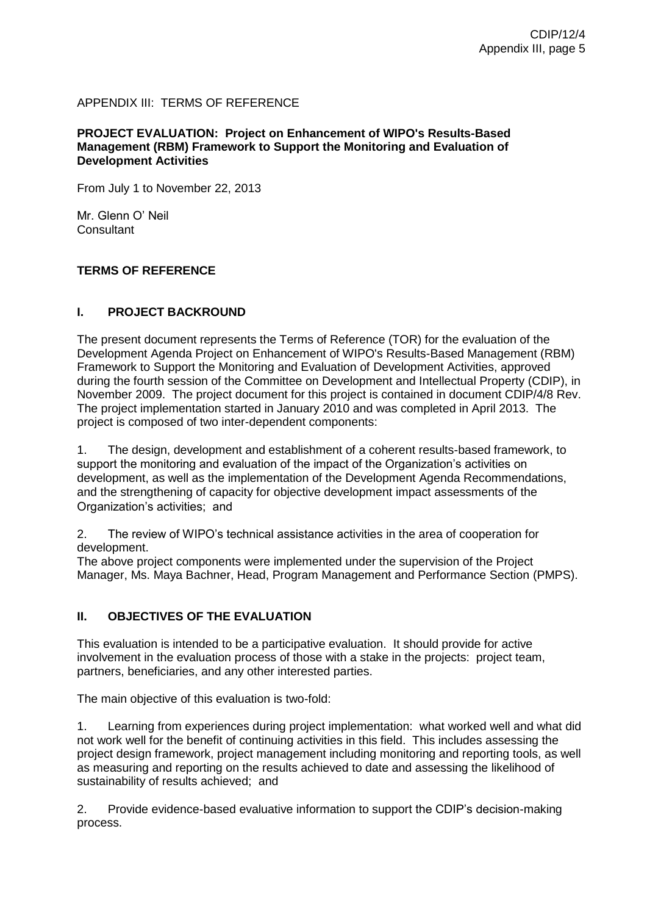# APPENDIX III: TERMS OF REFERENCE

#### **PROJECT EVALUATION: Project on Enhancement of WIPO's Results-Based Management (RBM) Framework to Support the Monitoring and Evaluation of Development Activities**

From July 1 to November 22, 2013

Mr. Glenn O' Neil **Consultant** 

#### **TERMS OF REFERENCE**

#### **I. PROJECT BACKROUND**

The present document represents the Terms of Reference (TOR) for the evaluation of the Development Agenda Project on Enhancement of WIPO's Results-Based Management (RBM) Framework to Support the Monitoring and Evaluation of Development Activities, approved during the fourth session of the Committee on Development and Intellectual Property (CDIP), in November 2009. The project document for this project is contained in document CDIP/4/8 Rev. The project implementation started in January 2010 and was completed in April 2013. The project is composed of two inter-dependent components:

1. The design, development and establishment of a coherent results-based framework, to support the monitoring and evaluation of the impact of the Organization's activities on development, as well as the implementation of the Development Agenda Recommendations, and the strengthening of capacity for objective development impact assessments of the Organization's activities; and

2. The review of WIPO's technical assistance activities in the area of cooperation for development.

The above project components were implemented under the supervision of the Project Manager, Ms. Maya Bachner, Head, Program Management and Performance Section (PMPS).

#### **II. OBJECTIVES OF THE EVALUATION**

This evaluation is intended to be a participative evaluation. It should provide for active involvement in the evaluation process of those with a stake in the projects: project team, partners, beneficiaries, and any other interested parties.

The main objective of this evaluation is two-fold:

1. Learning from experiences during project implementation: what worked well and what did not work well for the benefit of continuing activities in this field. This includes assessing the project design framework, project management including monitoring and reporting tools, as well as measuring and reporting on the results achieved to date and assessing the likelihood of sustainability of results achieved; and

2. Provide evidence-based evaluative information to support the CDIP's decision-making process.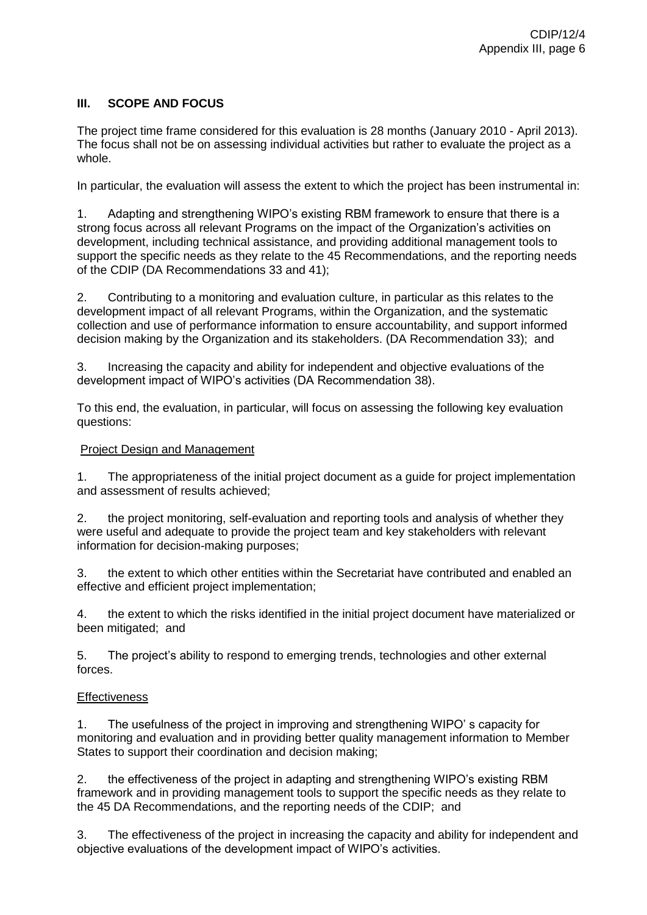# **III. SCOPE AND FOCUS**

The project time frame considered for this evaluation is 28 months (January 2010 - April 2013). The focus shall not be on assessing individual activities but rather to evaluate the project as a whole.

In particular, the evaluation will assess the extent to which the project has been instrumental in:

1. Adapting and strengthening WIPO's existing RBM framework to ensure that there is a strong focus across all relevant Programs on the impact of the Organization's activities on development, including technical assistance, and providing additional management tools to support the specific needs as they relate to the 45 Recommendations, and the reporting needs of the CDIP (DA Recommendations 33 and 41);

2. Contributing to a monitoring and evaluation culture, in particular as this relates to the development impact of all relevant Programs, within the Organization, and the systematic collection and use of performance information to ensure accountability, and support informed decision making by the Organization and its stakeholders. (DA Recommendation 33); and

3. Increasing the capacity and ability for independent and objective evaluations of the development impact of WIPO's activities (DA Recommendation 38).

To this end, the evaluation, in particular, will focus on assessing the following key evaluation questions:

#### Project Design and Management

1. The appropriateness of the initial project document as a guide for project implementation and assessment of results achieved;

2. the project monitoring, self-evaluation and reporting tools and analysis of whether they were useful and adequate to provide the project team and key stakeholders with relevant information for decision-making purposes;

3. the extent to which other entities within the Secretariat have contributed and enabled an effective and efficient project implementation;

4. the extent to which the risks identified in the initial project document have materialized or been mitigated; and

5. The project's ability to respond to emerging trends, technologies and other external forces.

#### **Effectiveness**

1. The usefulness of the project in improving and strengthening WIPO' s capacity for monitoring and evaluation and in providing better quality management information to Member States to support their coordination and decision making;

2. the effectiveness of the project in adapting and strengthening WIPO's existing RBM framework and in providing management tools to support the specific needs as they relate to the 45 DA Recommendations, and the reporting needs of the CDIP; and

3. The effectiveness of the project in increasing the capacity and ability for independent and objective evaluations of the development impact of WIPO's activities.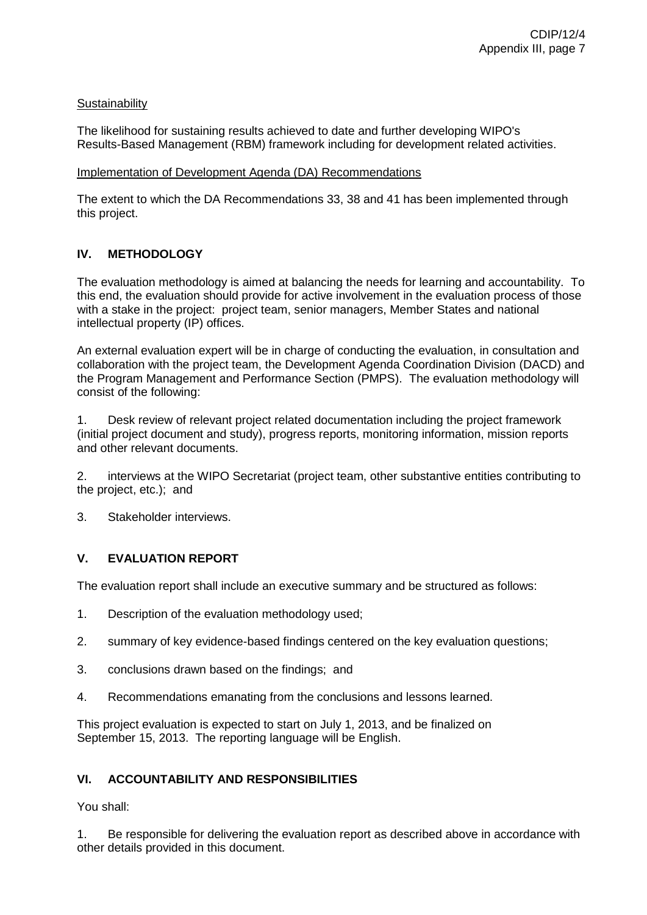# **Sustainability**

The likelihood for sustaining results achieved to date and further developing WIPO's Results-Based Management (RBM) framework including for development related activities.

#### Implementation of Development Agenda (DA) Recommendations

The extent to which the DA Recommendations 33, 38 and 41 has been implemented through this project.

# **IV. METHODOLOGY**

The evaluation methodology is aimed at balancing the needs for learning and accountability. To this end, the evaluation should provide for active involvement in the evaluation process of those with a stake in the project: project team, senior managers, Member States and national intellectual property (IP) offices.

An external evaluation expert will be in charge of conducting the evaluation, in consultation and collaboration with the project team, the Development Agenda Coordination Division (DACD) and the Program Management and Performance Section (PMPS). The evaluation methodology will consist of the following:

1. Desk review of relevant project related documentation including the project framework (initial project document and study), progress reports, monitoring information, mission reports and other relevant documents.

2. interviews at the WIPO Secretariat (project team, other substantive entities contributing to the project, etc.); and

3. Stakeholder interviews.

# **V. EVALUATION REPORT**

The evaluation report shall include an executive summary and be structured as follows:

- 1. Description of the evaluation methodology used;
- 2. summary of key evidence-based findings centered on the key evaluation questions;
- 3. conclusions drawn based on the findings; and
- 4. Recommendations emanating from the conclusions and lessons learned.

This project evaluation is expected to start on July 1, 2013, and be finalized on September 15, 2013. The reporting language will be English.

#### **VI. ACCOUNTABILITY AND RESPONSIBILITIES**

You shall:

1. Be responsible for delivering the evaluation report as described above in accordance with other details provided in this document.